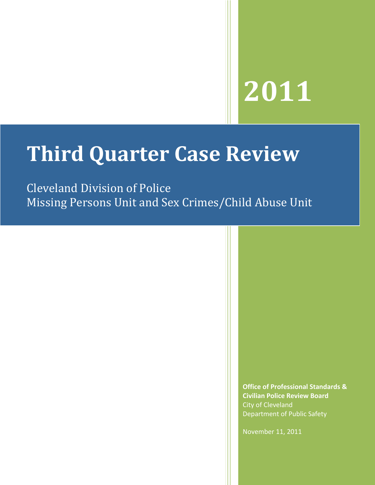# **2011**

# **Third Quarter Case Review**

Cleveland Division of Police Missing Persons Unit and Sex Crimes/Child Abuse Unit

> **Office of Professional Standards & Civilian Police Review Board** City of Cleveland Department of Public Safety

November 11, 2011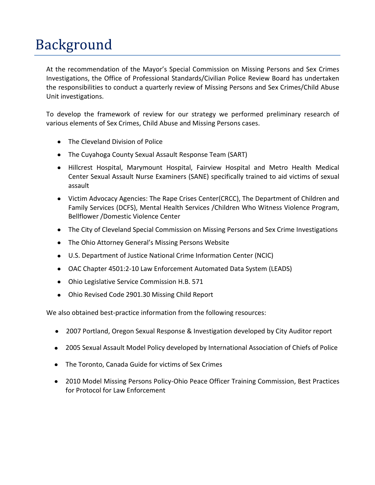# **Background**

At the recommendation of the Mayor's Special Commission on Missing Persons and Sex Crimes Investigations, the Office of Professional Standards/Civilian Police Review Board has undertaken the responsibilities to conduct a quarterly review of Missing Persons and Sex Crimes/Child Abuse Unit investigations.

To develop the framework of review for our strategy we performed preliminary research of various elements of Sex Crimes, Child Abuse and Missing Persons cases.

- The Cleveland Division of Police
- The Cuyahoga County Sexual Assault Response Team (SART)
- Hillcrest Hospital, Marymount Hospital, Fairview Hospital and Metro Health Medical Center Sexual Assault Nurse Examiners (SANE) specifically trained to aid victims of sexual assault
- Victim Advocacy Agencies: The Rape Crises Center(CRCC), The Department of Children and Family Services (DCFS), Mental Health Services /Children Who Witness Violence Program, Bellflower /Domestic Violence Center
- The City of Cleveland Special Commission on Missing Persons and Sex Crime Investigations  $\bullet$
- The Ohio Attorney General's Missing Persons Website  $\bullet$
- U.S. Department of Justice National Crime Information Center (NCIC)  $\bullet$
- $\bullet$ OAC Chapter 4501:2-10 Law Enforcement Automated Data System (LEADS)
- $\bullet$ Ohio Legislative Service Commission H.B. 571
- Ohio Revised Code 2901.30 Missing Child Report  $\bullet$

We also obtained best-practice information from the following resources:

- 2007 Portland, Oregon Sexual Response & Investigation developed by City Auditor report
- 2005 Sexual Assault Model Policy developed by International Association of Chiefs of Police
- The Toronto, Canada Guide for victims of Sex Crimes
- 2010 Model Missing Persons Policy-Ohio Peace Officer Training Commission, Best Practices for Protocol for Law Enforcement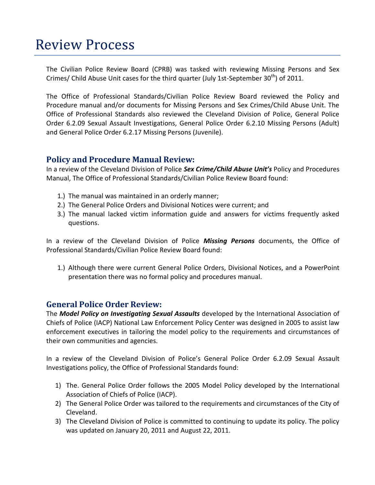# **Review Process**

The Civilian Police Review Board (CPRB) was tasked with reviewing Missing Persons and Sex Crimes/ Child Abuse Unit cases for the third quarter (July 1st-September  $30<sup>th</sup>$ ) of 2011.

The Office of Professional Standards/Civilian Police Review Board reviewed the Policy and Procedure manual and/or documents for Missing Persons and Sex Crimes/Child Abuse Unit. The Office of Professional Standards also reviewed the Cleveland Division of Police, General Police Order 6.2.09 Sexual Assault Investigations, General Police Order 6.2.10 Missing Persons (Adult) and General Police Order 6.2.17 Missing Persons (Juvenile).

## **Policy and Procedure Manual Review:**

In a review of the Cleveland Division of Police *Sex Crime/Child Abuse Unit's* Policy and Procedures Manual, The Office of Professional Standards/Civilian Police Review Board found:

- 1.) The manual was maintained in an orderly manner;
- 2.) The General Police Orders and Divisional Notices were current; and
- 3.) The manual lacked victim information guide and answers for victims frequently asked questions.

In a review of the Cleveland Division of Police *Missing Persons* documents, the Office of Professional Standards/Civilian Police Review Board found:

1.) Although there were current General Police Orders, Divisional Notices, and a PowerPoint presentation there was no formal policy and procedures manual.

## **General Police Order Review:**

The *Model Policy on Investigating Sexual Assaults* developed by the International Association of Chiefs of Police (IACP) National Law Enforcement Policy Center was designed in 2005 to assist law enforcement executives in tailoring the model policy to the requirements and circumstances of their own communities and agencies.

In a review of the Cleveland Division of Police's General Police Order 6.2.09 Sexual Assault Investigations policy, the Office of Professional Standards found:

- 1) The. General Police Order follows the 2005 Model Policy developed by the International Association of Chiefs of Police (IACP).
- 2) The General Police Order was tailored to the requirements and circumstances of the City of Cleveland.
- 3) The Cleveland Division of Police is committed to continuing to update its policy. The policy was updated on January 20, 2011 and August 22, 2011.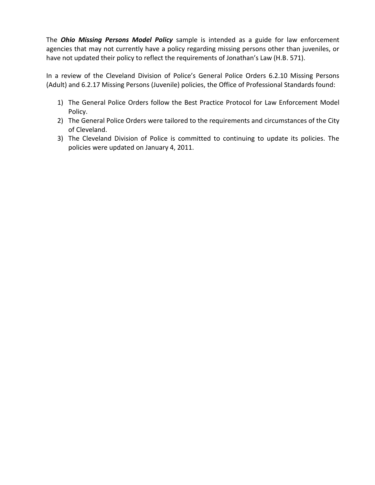The *Ohio Missing Persons Model Policy* sample is intended as a guide for law enforcement agencies that may not currently have a policy regarding missing persons other than juveniles, or have not updated their policy to reflect the requirements of Jonathan's Law (H.B. 571).

In a review of the Cleveland Division of Police's General Police Orders 6.2.10 Missing Persons (Adult) and 6.2.17 Missing Persons (Juvenile) policies, the Office of Professional Standards found:

- 1) The General Police Orders follow the Best Practice Protocol for Law Enforcement Model Policy.
- 2) The General Police Orders were tailored to the requirements and circumstances of the City of Cleveland.
- 3) The Cleveland Division of Police is committed to continuing to update its policies. The policies were updated on January 4, 2011.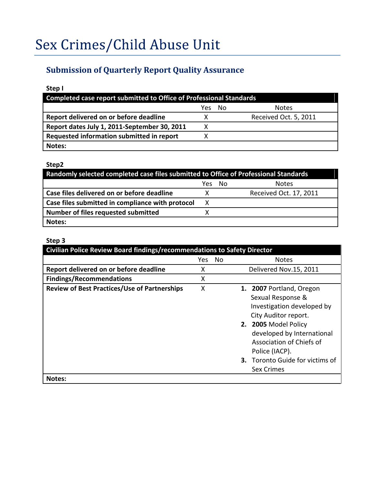# **Submission of Quarterly Report Quality Assurance**

**Step I**

| <b>Completed case report submitted to Office of Professional Standards</b> |      |    |                       |
|----------------------------------------------------------------------------|------|----|-----------------------|
|                                                                            | Yes. | Nο | <b>Notes</b>          |
| Report delivered on or before deadline                                     |      |    | Received Oct. 5, 2011 |
| Report dates July 1, 2011-September 30, 2011                               | x    |    |                       |
| Requested information submitted in report                                  | x    |    |                       |
| Notes:                                                                     |      |    |                       |

#### **Step2**

| Randomly selected completed case files submitted to Office of Professional Standards |     |     |                        |
|--------------------------------------------------------------------------------------|-----|-----|------------------------|
|                                                                                      | Yes | No. | <b>Notes</b>           |
| Case files delivered on or before deadline                                           |     |     | Received Oct. 17, 2011 |
| Case files submitted in compliance with protocol                                     | х   |     |                        |
| Number of files requested submitted                                                  |     |     |                        |
| Notes:                                                                               |     |     |                        |

## **Step 3**

| Civilian Police Review Board findings/recommendations to Safety Director |      |     |                                                                                                                                                                                                                                                                        |
|--------------------------------------------------------------------------|------|-----|------------------------------------------------------------------------------------------------------------------------------------------------------------------------------------------------------------------------------------------------------------------------|
|                                                                          | Yes. | No. | <b>Notes</b>                                                                                                                                                                                                                                                           |
| Report delivered on or before deadline                                   | x    |     | Delivered Nov.15, 2011                                                                                                                                                                                                                                                 |
| <b>Findings/Recommendations</b>                                          | X    |     |                                                                                                                                                                                                                                                                        |
| <b>Review of Best Practices/Use of Partnerships</b>                      | X    |     | 1. 2007 Portland, Oregon<br>Sexual Response &<br>Investigation developed by<br>City Auditor report.<br>2. 2005 Model Policy<br>developed by International<br>Association of Chiefs of<br>Police (IACP).<br><b>3.</b> Toronto Guide for victims of<br><b>Sex Crimes</b> |
| Notes:                                                                   |      |     |                                                                                                                                                                                                                                                                        |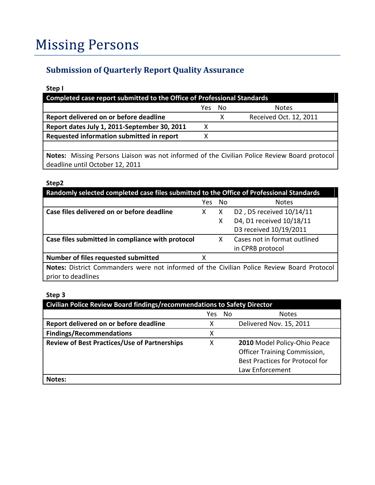# **Submission of Quarterly Report Quality Assurance**

**Step I**

| Completed case report submitted to the Office of Professional Standards                      |      |     |                        |
|----------------------------------------------------------------------------------------------|------|-----|------------------------|
|                                                                                              | Yes. | No. | <b>Notes</b>           |
| Report delivered on or before deadline                                                       |      | x   | Received Oct. 12, 2011 |
| Report dates July 1, 2011-September 30, 2011                                                 | x    |     |                        |
| Requested information submitted in report                                                    |      |     |                        |
|                                                                                              |      |     |                        |
| Notes: Missing Persons Liaison was not informed of the Civilian Police Review Board protocol |      |     |                        |

deadline until October 12, 2011

#### **Step2**

| Randomly selected completed case files submitted to the Office of Professional Standards  |     |     |                              |  |
|-------------------------------------------------------------------------------------------|-----|-----|------------------------------|--|
|                                                                                           | Yes | No. | <b>Notes</b>                 |  |
| Case files delivered on or before deadline                                                | x   | X   | D2, D5 received 10/14/11     |  |
|                                                                                           |     | X   | D4, D1 received 10/18/11     |  |
|                                                                                           |     |     | D3 received 10/19/2011       |  |
| Case files submitted in compliance with protocol                                          |     |     | Cases not in format outlined |  |
|                                                                                           |     |     | in CPRB protocol             |  |
| Number of files requested submitted                                                       | x   |     |                              |  |
| Notes: District Commanders were not informed of the Civilian Police Review Board Protocol |     |     |                              |  |
| prior to deadlines                                                                        |     |     |                              |  |

### **Step 3**

| <b>Civilian Police Review Board findings/recommendations to Safety Director</b> |      |     |                                     |
|---------------------------------------------------------------------------------|------|-----|-------------------------------------|
|                                                                                 | Yes. | No. | <b>Notes</b>                        |
| Report delivered on or before deadline                                          | x    |     | Delivered Nov. 15, 2011             |
| <b>Findings/Recommendations</b>                                                 | х    |     |                                     |
| <b>Review of Best Practices/Use of Partnerships</b>                             | x    |     | 2010 Model Policy-Ohio Peace        |
|                                                                                 |      |     | <b>Officer Training Commission,</b> |
|                                                                                 |      |     | Best Practices for Protocol for     |
|                                                                                 |      |     | Law Enforcement                     |
| Notes:                                                                          |      |     |                                     |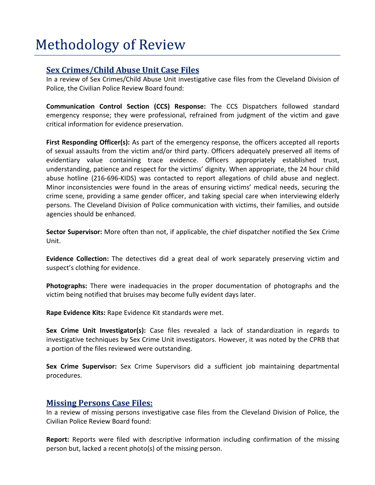# **Methodology of Review**

# **Sex Crimes/Child Abuse Unit Case Files**

In a review of Sex Crimes/Child Abuse Unit investigative case files from the Cleveland Division of Police, the Civilian Police Review Board found:

**Communication Control Section (CCS) Response:** The CCS Dispatchers followed standard emergency response; they were professional, refrained from judgment of the victim and gave critical information for evidence preservation.

**First Responding Officer(s):** As part of the emergency response, the officers accepted all reports of sexual assaults from the victim and/or third party. Officers adequately preserved all items of evidentiary value containing trace evidence. Officers appropriately established trust, understanding, patience and respect for the victims' dignity. When appropriate, the 24 hour child abuse hotline (216-696-KIDS) was contacted to report allegations of child abuse and neglect. Minor inconsistencies were found in the areas of ensuring victims' medical needs, securing the crime scene, providing a same gender officer, and taking special care when interviewing elderly persons. The Cleveland Division of Police communication with victims, their families, and outside agencies should be enhanced.

**Sector Supervisor:** More often than not, if applicable, the chief dispatcher notified the Sex Crime Unit.

**Evidence Collection:** The detectives did a great deal of work separately preserving victim and suspect's clothing for evidence.

**Photographs:** There were inadequacies in the proper documentation of photographs and the victim being notified that bruises may become fully evident days later.

**Rape Evidence Kits:** Rape Evidence Kit standards were met.

**Sex Crime Unit Investigator(s):** Case files revealed a lack of standardization in regards to investigative techniques by Sex Crime Unit investigators. However, it was noted by the CPRB that a portion of the files reviewed were outstanding.

**Sex Crime Supervisor:** Sex Crime Supervisors did a sufficient job maintaining departmental procedures.

## **Missing Persons Case Files:**

In a review of missing persons investigative case files from the Cleveland Division of Police, the Civilian Police Review Board found:

**Report:** Reports were filed with descriptive information including confirmation of the missing person but, lacked a recent photo(s) of the missing person.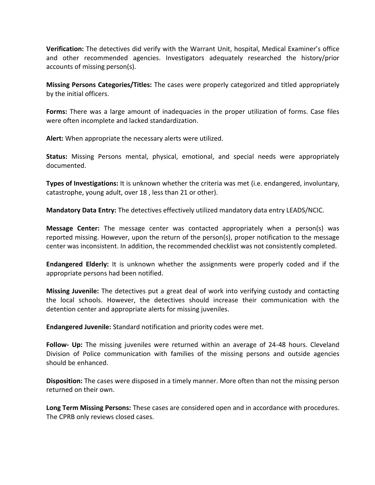**Verification:** The detectives did verify with the Warrant Unit, hospital, Medical Examiner's office and other recommended agencies. Investigators adequately researched the history/prior accounts of missing person(s).

**Missing Persons Categories/Titles:** The cases were properly categorized and titled appropriately by the initial officers.

**Forms:** There was a large amount of inadequacies in the proper utilization of forms. Case files were often incomplete and lacked standardization.

**Alert:** When appropriate the necessary alerts were utilized.

**Status:** Missing Persons mental, physical, emotional, and special needs were appropriately documented.

**Types of Investigations:** It is unknown whether the criteria was met (i.e. endangered, involuntary, catastrophe, young adult, over 18 , less than 21 or other).

**Mandatory Data Entry:** The detectives effectively utilized mandatory data entry LEADS/NCIC.

**Message Center:** The message center was contacted appropriately when a person(s) was reported missing. However, upon the return of the person(s), proper notification to the message center was inconsistent. In addition, the recommended checklist was not consistently completed.

**Endangered Elderly:** It is unknown whether the assignments were properly coded and if the appropriate persons had been notified.

**Missing Juvenile:** The detectives put a great deal of work into verifying custody and contacting the local schools. However, the detectives should increase their communication with the detention center and appropriate alerts for missing juveniles.

**Endangered Juvenile:** Standard notification and priority codes were met.

**Follow- Up:** The missing juveniles were returned within an average of 24-48 hours. Cleveland Division of Police communication with families of the missing persons and outside agencies should be enhanced.

**Disposition:** The cases were disposed in a timely manner. More often than not the missing person returned on their own.

**Long Term Missing Persons:** These cases are considered open and in accordance with procedures. The CPRB only reviews closed cases.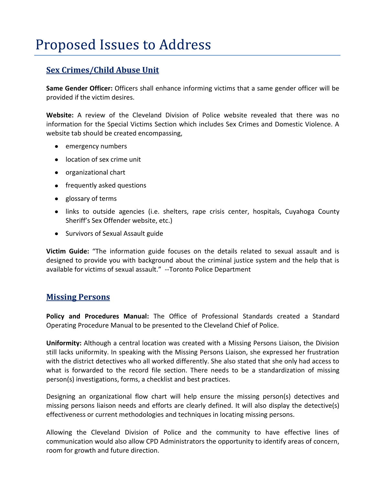# **Proposed Issues to Address**

# **Sex Crimes/Child Abuse Unit**

**Same Gender Officer:** Officers shall enhance informing victims that a same gender officer will be provided if the victim desires.

**Website:** A review of the Cleveland Division of Police website revealed that there was no information for the Special Victims Section which includes Sex Crimes and Domestic Violence. A website tab should be created encompassing,

- emergency numbers
- location of sex crime unit
- organizational chart
- frequently asked questions
- glossary of terms
- links to outside agencies (i.e. shelters, rape crisis center, hospitals, Cuyahoga County Sheriff's Sex Offender website, etc.)
- Survivors of Sexual Assault guide

**Victim Guide:** "The information guide focuses on the details related to sexual assault and is designed to provide you with background about the criminal justice system and the help that is available for victims of sexual assault." --Toronto Police Department

## **Missing Persons**

**Policy and Procedures Manual:** The Office of Professional Standards created a Standard Operating Procedure Manual to be presented to the Cleveland Chief of Police.

**Uniformity:** Although a central location was created with a Missing Persons Liaison, the Division still lacks uniformity. In speaking with the Missing Persons Liaison, she expressed her frustration with the district detectives who all worked differently. She also stated that she only had access to what is forwarded to the record file section. There needs to be a standardization of missing person(s) investigations, forms, a checklist and best practices.

Designing an organizational flow chart will help ensure the missing person(s) detectives and missing persons liaison needs and efforts are clearly defined. It will also display the detective(s) effectiveness or current methodologies and techniques in locating missing persons.

Allowing the Cleveland Division of Police and the community to have effective lines of communication would also allow CPD Administrators the opportunity to identify areas of concern, room for growth and future direction.